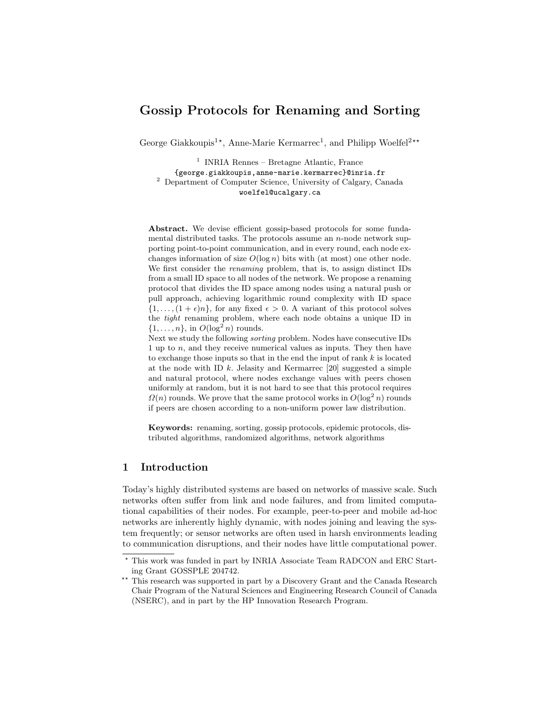# Gossip Protocols for Renaming and Sorting

George Giakkoupis<sup>1\*</sup>, Anne-Marie Kermarrec<sup>1</sup>, and Philipp Woelfel<sup>2\*\*</sup>

1 INRIA Rennes – Bretagne Atlantic, France {george.giakkoupis,anne-marie.kermarrec}@inria.fr <sup>2</sup> Department of Computer Science, University of Calgary, Canada woelfel@ucalgary.ca

Abstract. We devise efficient gossip-based protocols for some fundamental distributed tasks. The protocols assume an  $n$ -node network supporting point-to-point communication, and in every round, each node exchanges information of size  $O(\log n)$  bits with (at most) one other node. We first consider the renaming problem, that is, to assign distinct IDs from a small ID space to all nodes of the network. We propose a renaming protocol that divides the ID space among nodes using a natural push or pull approach, achieving logarithmic round complexity with ID space  $\{1, \ldots, (1 + \epsilon)n\}$ , for any fixed  $\epsilon > 0$ . A variant of this protocol solves the tight renaming problem, where each node obtains a unique ID in  $\{1,\ldots,n\}$ , in  $O(\log^2 n)$  rounds.

Next we study the following sorting problem. Nodes have consecutive IDs 1 up to  $n$ , and they receive numerical values as inputs. They then have to exchange those inputs so that in the end the input of rank  $k$  is located at the node with ID  $k$ . Jelasity and Kermarrec [20] suggested a simple and natural protocol, where nodes exchange values with peers chosen uniformly at random, but it is not hard to see that this protocol requires  $\Omega(n)$  rounds. We prove that the same protocol works in  $O(\log^2 n)$  rounds if peers are chosen according to a non-uniform power law distribution.

Keywords: renaming, sorting, gossip protocols, epidemic protocols, distributed algorithms, randomized algorithms, network algorithms

### 1 Introduction

Today's highly distributed systems are based on networks of massive scale. Such networks often suffer from link and node failures, and from limited computational capabilities of their nodes. For example, peer-to-peer and mobile ad-hoc networks are inherently highly dynamic, with nodes joining and leaving the system frequently; or sensor networks are often used in harsh environments leading to communication disruptions, and their nodes have little computational power.

<sup>?</sup> This work was funded in part by INRIA Associate Team RADCON and ERC Starting Grant GOSSPLE 204742.

<sup>\*\*</sup> This research was supported in part by a Discovery Grant and the Canada Research Chair Program of the Natural Sciences and Engineering Research Council of Canada (NSERC), and in part by the HP Innovation Research Program.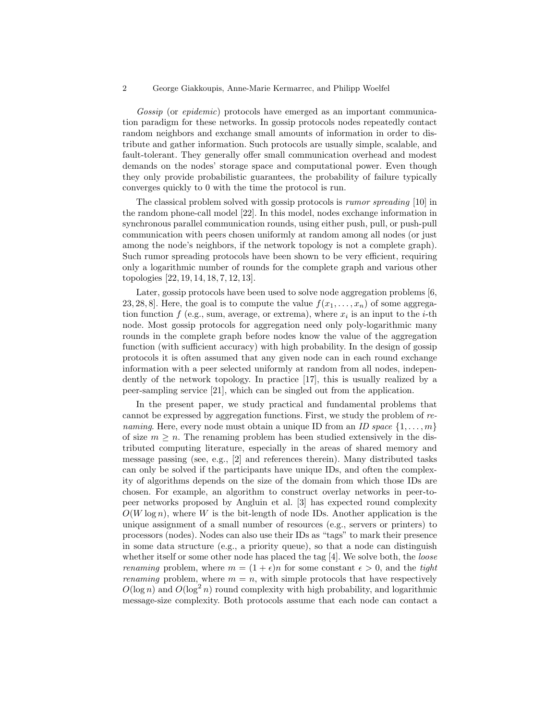#### 2 George Giakkoupis, Anne-Marie Kermarrec, and Philipp Woelfel

Gossip (or *epidemic*) protocols have emerged as an important communication paradigm for these networks. In gossip protocols nodes repeatedly contact random neighbors and exchange small amounts of information in order to distribute and gather information. Such protocols are usually simple, scalable, and fault-tolerant. They generally offer small communication overhead and modest demands on the nodes' storage space and computational power. Even though they only provide probabilistic guarantees, the probability of failure typically converges quickly to 0 with the time the protocol is run.

The classical problem solved with gossip protocols is rumor spreading [10] in the random phone-call model [22]. In this model, nodes exchange information in synchronous parallel communication rounds, using either push, pull, or push-pull communication with peers chosen uniformly at random among all nodes (or just among the node's neighbors, if the network topology is not a complete graph). Such rumor spreading protocols have been shown to be very efficient, requiring only a logarithmic number of rounds for the complete graph and various other topologies [22, 19, 14, 18, 7, 12, 13].

Later, gossip protocols have been used to solve node aggregation problems [6, 23, 28, 8]. Here, the goal is to compute the value  $f(x_1, \ldots, x_n)$  of some aggregation function  $f$  (e.g., sum, average, or extrema), where  $x_i$  is an input to the *i*-th node. Most gossip protocols for aggregation need only poly-logarithmic many rounds in the complete graph before nodes know the value of the aggregation function (with sufficient accuracy) with high probability. In the design of gossip protocols it is often assumed that any given node can in each round exchange information with a peer selected uniformly at random from all nodes, independently of the network topology. In practice [17], this is usually realized by a peer-sampling service [21], which can be singled out from the application.

In the present paper, we study practical and fundamental problems that cannot be expressed by aggregation functions. First, we study the problem of renaming. Here, every node must obtain a unique ID from an ID space  $\{1, \ldots, m\}$ of size  $m \geq n$ . The renaming problem has been studied extensively in the distributed computing literature, especially in the areas of shared memory and message passing (see, e.g., [2] and references therein). Many distributed tasks can only be solved if the participants have unique IDs, and often the complexity of algorithms depends on the size of the domain from which those IDs are chosen. For example, an algorithm to construct overlay networks in peer-topeer networks proposed by Angluin et al. [3] has expected round complexity  $O(W \log n)$ , where W is the bit-length of node IDs. Another application is the unique assignment of a small number of resources (e.g., servers or printers) to processors (nodes). Nodes can also use their IDs as "tags" to mark their presence in some data structure (e.g., a priority queue), so that a node can distinguish whether itself or some other node has placed the tag  $[4]$ . We solve both, the *loose renaming* problem, where  $m = (1 + \epsilon)n$  for some constant  $\epsilon > 0$ , and the tight *renaming* problem, where  $m = n$ , with simple protocols that have respectively  $O(\log n)$  and  $O(\log^2 n)$  round complexity with high probability, and logarithmic message-size complexity. Both protocols assume that each node can contact a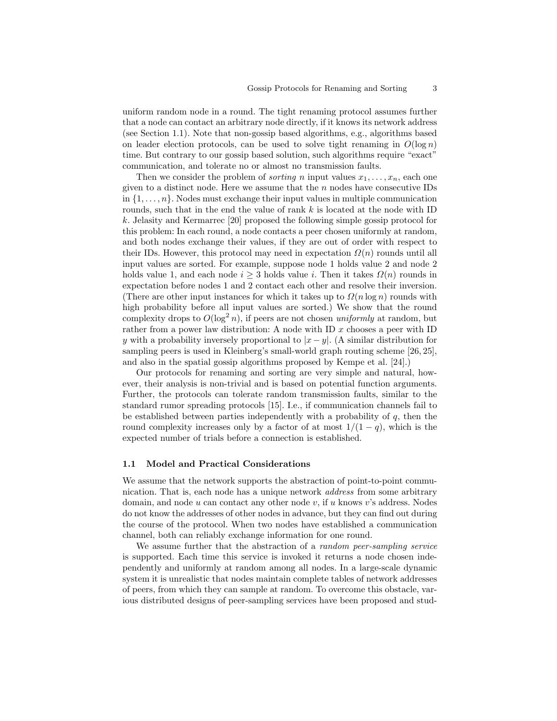uniform random node in a round. The tight renaming protocol assumes further that a node can contact an arbitrary node directly, if it knows its network address (see Section 1.1). Note that non-gossip based algorithms, e.g., algorithms based on leader election protocols, can be used to solve tight renaming in  $O(\log n)$ time. But contrary to our gossip based solution, such algorithms require "exact" communication, and tolerate no or almost no transmission faults.

Then we consider the problem of *sorting* n input values  $x_1, \ldots, x_n$ , each one given to a distinct node. Here we assume that the  $n$  nodes have consecutive IDs in  $\{1, \ldots, n\}$ . Nodes must exchange their input values in multiple communication rounds, such that in the end the value of rank  $k$  is located at the node with ID k. Jelasity and Kermarrec [20] proposed the following simple gossip protocol for this problem: In each round, a node contacts a peer chosen uniformly at random, and both nodes exchange their values, if they are out of order with respect to their IDs. However, this protocol may need in expectation  $\Omega(n)$  rounds until all input values are sorted. For example, suppose node 1 holds value 2 and node 2 holds value 1, and each node  $i \geq 3$  holds value i. Then it takes  $\Omega(n)$  rounds in expectation before nodes 1 and 2 contact each other and resolve their inversion. (There are other input instances for which it takes up to  $\Omega(n \log n)$  rounds with high probability before all input values are sorted.) We show that the round complexity drops to  $O(\log^2 n)$ , if peers are not chosen *uniformly* at random, but rather from a power law distribution: A node with ID  $x$  chooses a peer with ID y with a probability inversely proportional to  $|x-y|$ . (A similar distribution for sampling peers is used in Kleinberg's small-world graph routing scheme [26, 25], and also in the spatial gossip algorithms proposed by Kempe et al. [24].)

Our protocols for renaming and sorting are very simple and natural, however, their analysis is non-trivial and is based on potential function arguments. Further, the protocols can tolerate random transmission faults, similar to the standard rumor spreading protocols [15]. I.e., if communication channels fail to be established between parties independently with a probability of  $q$ , then the round complexity increases only by a factor of at most  $1/(1-q)$ , which is the expected number of trials before a connection is established.

### 1.1 Model and Practical Considerations

We assume that the network supports the abstraction of point-to-point communication. That is, each node has a unique network *address* from some arbitrary domain, and node u can contact any other node v, if u knows v's address. Nodes do not know the addresses of other nodes in advance, but they can find out during the course of the protocol. When two nodes have established a communication channel, both can reliably exchange information for one round.

We assume further that the abstraction of a random peer-sampling service is supported. Each time this service is invoked it returns a node chosen independently and uniformly at random among all nodes. In a large-scale dynamic system it is unrealistic that nodes maintain complete tables of network addresses of peers, from which they can sample at random. To overcome this obstacle, various distributed designs of peer-sampling services have been proposed and stud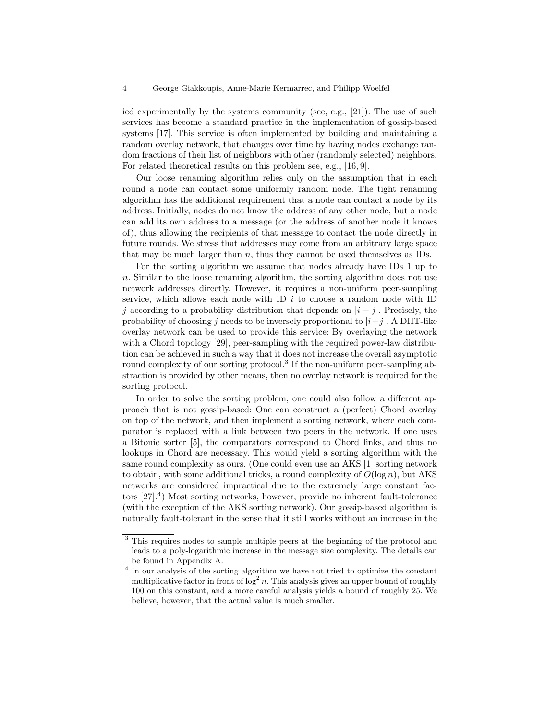ied experimentally by the systems community (see, e.g., [21]). The use of such services has become a standard practice in the implementation of gossip-based systems [17]. This service is often implemented by building and maintaining a random overlay network, that changes over time by having nodes exchange random fractions of their list of neighbors with other (randomly selected) neighbors. For related theoretical results on this problem see, e.g., [16, 9].

Our loose renaming algorithm relies only on the assumption that in each round a node can contact some uniformly random node. The tight renaming algorithm has the additional requirement that a node can contact a node by its address. Initially, nodes do not know the address of any other node, but a node can add its own address to a message (or the address of another node it knows of), thus allowing the recipients of that message to contact the node directly in future rounds. We stress that addresses may come from an arbitrary large space that may be much larger than  $n$ , thus they cannot be used themselves as IDs.

For the sorting algorithm we assume that nodes already have IDs 1 up to n. Similar to the loose renaming algorithm, the sorting algorithm does not use network addresses directly. However, it requires a non-uniform peer-sampling service, which allows each node with ID  $i$  to choose a random node with ID j according to a probability distribution that depends on  $|i-j|$ . Precisely, the probability of choosing j needs to be inversely proportional to  $|i-j|$ . A DHT-like overlay network can be used to provide this service: By overlaying the network with a Chord topology [29], peer-sampling with the required power-law distribution can be achieved in such a way that it does not increase the overall asymptotic round complexity of our sorting protocol.<sup>3</sup> If the non-uniform peer-sampling abstraction is provided by other means, then no overlay network is required for the sorting protocol.

In order to solve the sorting problem, one could also follow a different approach that is not gossip-based: One can construct a (perfect) Chord overlay on top of the network, and then implement a sorting network, where each comparator is replaced with a link between two peers in the network. If one uses a Bitonic sorter [5], the comparators correspond to Chord links, and thus no lookups in Chord are necessary. This would yield a sorting algorithm with the same round complexity as ours. (One could even use an AKS [1] sorting network to obtain, with some additional tricks, a round complexity of  $O(\log n)$ , but AKS networks are considered impractical due to the extremely large constant factors [27].<sup>4</sup> ) Most sorting networks, however, provide no inherent fault-tolerance (with the exception of the AKS sorting network). Our gossip-based algorithm is naturally fault-tolerant in the sense that it still works without an increase in the

<sup>&</sup>lt;sup>3</sup> This requires nodes to sample multiple peers at the beginning of the protocol and leads to a poly-logarithmic increase in the message size complexity. The details can be found in Appendix A.

<sup>&</sup>lt;sup>4</sup> In our analysis of the sorting algorithm we have not tried to optimize the constant multiplicative factor in front of  $\log^2 n$ . This analysis gives an upper bound of roughly 100 on this constant, and a more careful analysis yields a bound of roughly 25. We believe, however, that the actual value is much smaller.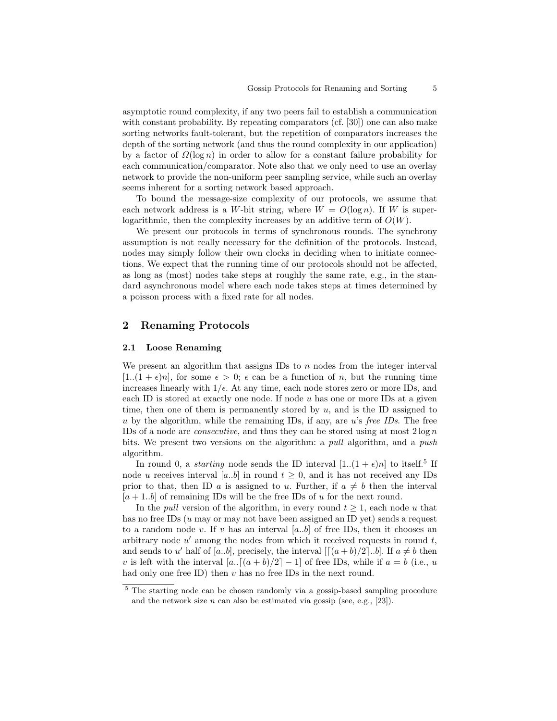asymptotic round complexity, if any two peers fail to establish a communication with constant probability. By repeating comparators (cf. [30]) one can also make sorting networks fault-tolerant, but the repetition of comparators increases the depth of the sorting network (and thus the round complexity in our application) by a factor of  $\Omega(\log n)$  in order to allow for a constant failure probability for each communication/comparator. Note also that we only need to use an overlay network to provide the non-uniform peer sampling service, while such an overlay seems inherent for a sorting network based approach.

To bound the message-size complexity of our protocols, we assume that each network address is a W-bit string, where  $W = O(\log n)$ . If W is superlogarithmic, then the complexity increases by an additive term of  $O(W)$ .

We present our protocols in terms of synchronous rounds. The synchrony assumption is not really necessary for the definition of the protocols. Instead, nodes may simply follow their own clocks in deciding when to initiate connections. We expect that the running time of our protocols should not be affected, as long as (most) nodes take steps at roughly the same rate, e.g., in the standard asynchronous model where each node takes steps at times determined by a poisson process with a fixed rate for all nodes.

### 2 Renaming Protocols

#### 2.1 Loose Renaming

We present an algorithm that assigns IDs to  $n$  nodes from the integer interval  $[1..(1 + \epsilon)n]$ , for some  $\epsilon > 0$ ;  $\epsilon$  can be a function of n, but the running time increases linearly with  $1/\epsilon$ . At any time, each node stores zero or more IDs, and each ID is stored at exactly one node. If node  $u$  has one or more IDs at a given time, then one of them is permanently stored by  $u$ , and is the ID assigned to u by the algorithm, while the remaining IDs, if any, are u's free IDs. The free IDs of a node are *consecutive*, and thus they can be stored using at most  $2 \log n$ bits. We present two versions on the algorithm: a pull algorithm, and a push algorithm.

In round 0, a *starting* node sends the ID interval  $[1..(1 + \epsilon)n]$  to itself.<sup>5</sup> If node u receives interval [a..b] in round  $t \geq 0$ , and it has not received any IDs prior to that, then ID a is assigned to u. Further, if  $a \neq b$  then the interval  $[a + 1..b]$  of remaining IDs will be the free IDs of u for the next round.

In the *pull* version of the algorithm, in every round  $t \geq 1$ , each node u that has no free IDs  $(u \text{ may or may not have been assigned an ID yet})$  sends a request to a random node v. If v has an interval  $[a..b]$  of free IDs, then it chooses an arbitrary node  $u'$  among the nodes from which it received requests in round  $t$ , and sends to u' half of [a..b], precisely, the interval  $[(a+b)/2]$ ..b]. If  $a \neq b$  then v is left with the interval  $[a \cdot (a + b)/2] - 1$  of free IDs, while if  $a = b$  (i.e., u had only one free ID) then  $v$  has no free IDs in the next round.

<sup>&</sup>lt;sup>5</sup> The starting node can be chosen randomly via a gossip-based sampling procedure and the network size  $n$  can also be estimated via gossip (see, e.g., [23]).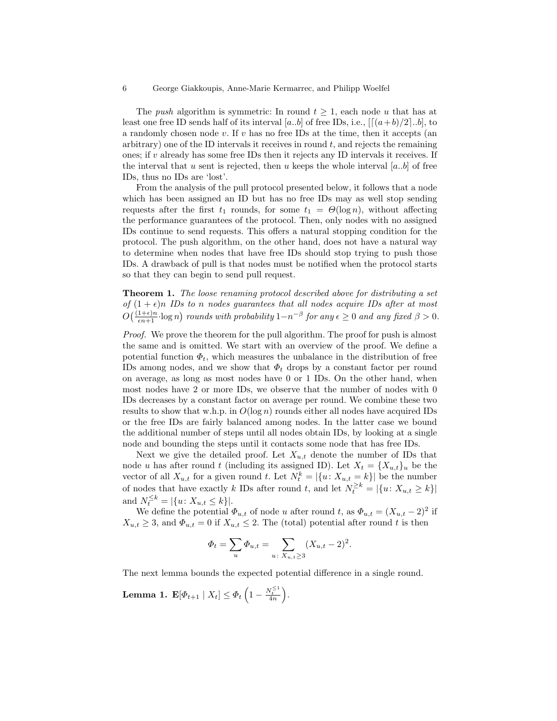The *push* algorithm is symmetric: In round  $t \geq 1$ , each node u that has at least one free ID sends half of its interval [a.b] of free IDs, i.e.,  $[(a+b)/2]..b]$ , to a randomly chosen node v. If v has no free IDs at the time, then it accepts (an arbitrary) one of the ID intervals it receives in round  $t$ , and rejects the remaining ones; if  $v$  already has some free IDs then it rejects any ID intervals it receives. If the interval that u sent is rejected, then u keeps the whole interval  $[a..b]$  of free IDs, thus no IDs are 'lost'.

From the analysis of the pull protocol presented below, it follows that a node which has been assigned an ID but has no free IDs may as well stop sending requests after the first  $t_1$  rounds, for some  $t_1 = \Theta(\log n)$ , without affecting the performance guarantees of the protocol. Then, only nodes with no assigned IDs continue to send requests. This offers a natural stopping condition for the protocol. The push algorithm, on the other hand, does not have a natural way to determine when nodes that have free IDs should stop trying to push those IDs. A drawback of pull is that nodes must be notified when the protocol starts so that they can begin to send pull request.

Theorem 1. The loose renaming protocol described above for distributing a set of  $(1 + \epsilon)n$  IDs to n nodes guarantees that all nodes acquire IDs after at most  $O\left(\frac{(1+\epsilon)n}{\epsilon n+1}\cdot \log n\right)$  rounds with probability  $1-n^{-\beta}$  for any  $\epsilon \geq 0$  and any fixed  $\beta > 0$ .

Proof. We prove the theorem for the pull algorithm. The proof for push is almost the same and is omitted. We start with an overview of the proof. We define a potential function  $\Phi_t$ , which measures the unbalance in the distribution of free IDs among nodes, and we show that  $\Phi_t$  drops by a constant factor per round on average, as long as most nodes have 0 or 1 IDs. On the other hand, when most nodes have 2 or more IDs, we observe that the number of nodes with 0 IDs decreases by a constant factor on average per round. We combine these two results to show that w.h.p. in  $O(\log n)$  rounds either all nodes have acquired IDs or the free IDs are fairly balanced among nodes. In the latter case we bound the additional number of steps until all nodes obtain IDs, by looking at a single node and bounding the steps until it contacts some node that has free IDs.

Next we give the detailed proof. Let  $X_{u,t}$  denote the number of IDs that node u has after round t (including its assigned ID). Let  $X_t = \{X_{u,t}\}_u$  be the vector of all  $X_{u,t}$  for a given round t. Let  $N_t^k = |\{u: X_{u,t} = k\}|$  be the number of nodes that have exactly k IDs after round t, and let  $N_t^{\geq k} = |\{u: X_{u,t} \geq k\}|$ and  $N_t^{\leq k} = |\{u: X_{u,t} \leq k\}|.$ 

We define the potential  $\Phi_{u,t}$  of node u after round t, as  $\Phi_{u,t} = (X_{u,t} - 2)^2$  if  $X_{u,t} \geq 3$ , and  $\Phi_{u,t} = 0$  if  $X_{u,t} \leq 2$ . The (total) potential after round t is then

$$
\Phi_t = \sum_u \Phi_{u,t} = \sum_{u \colon X_{u,t} \ge 3} (X_{u,t} - 2)^2.
$$

The next lemma bounds the expected potential difference in a single round.

Lemma 1.  $\mathbf{E}[\varPhi_{t+1} \mid X_t] \leq \varPhi_t \left(1 - \frac{N_t^{\leq 1}}{4n}\right)$ .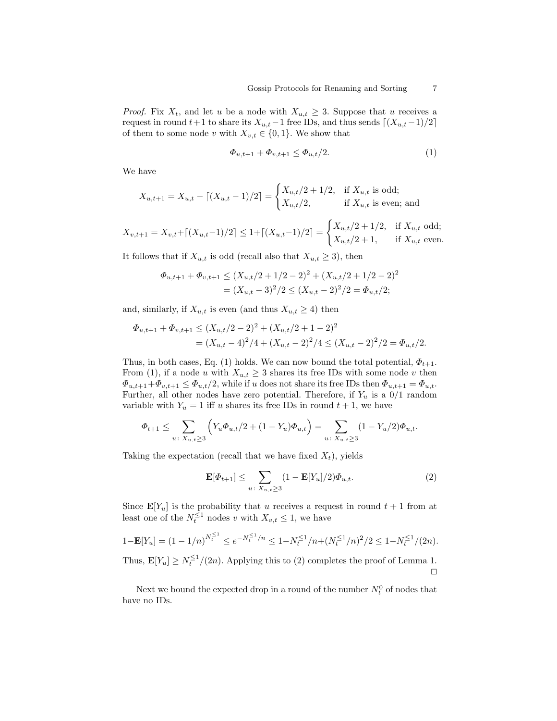*Proof.* Fix  $X_t$ , and let u be a node with  $X_{u,t} \geq 3$ . Suppose that u receives a request in round  $t+1$  to share its  $X_{u,t}-1$  free IDs, and thus sends  $\lfloor (X_{u,t}-1)/2 \rfloor$ of them to some node v with  $X_{v,t} \in \{0,1\}$ . We show that

$$
\Phi_{u,t+1} + \Phi_{v,t+1} \le \Phi_{u,t}/2. \tag{1}
$$

We have

$$
X_{u,t+1} = X_{u,t} - \left[ (X_{u,t} - 1)/2 \right] = \begin{cases} X_{u,t}/2 + 1/2, & \text{if } X_{u,t} \text{ is odd;}\\ X_{u,t}/2, & \text{if } X_{u,t} \text{ is even; and} \end{cases}
$$

$$
X_{v,t+1} = X_{v,t} + \lceil (X_{u,t} - 1)/2 \rceil \le 1 + \lceil (X_{u,t} - 1)/2 \rceil = \begin{cases} X_{u,t}/2 + 1/2, & \text{if } X_{u,t} \text{ odd}; \\ X_{u,t}/2 + 1, & \text{if } X_{u,t} \text{ even}. \end{cases}
$$

It follows that if  $X_{u,t}$  is odd (recall also that  $X_{u,t} \geq 3$ ), then

$$
\Phi_{u,t+1} + \Phi_{v,t+1} \le (X_{u,t}/2 + 1/2 - 2)^2 + (X_{u,t}/2 + 1/2 - 2)^2
$$
  
=  $(X_{u,t} - 3)^2/2 \le (X_{u,t} - 2)^2/2 = \Phi_{u,t}/2;$ 

and, similarly, if  $X_{u,t}$  is even (and thus  $X_{u,t} \geq 4$ ) then

$$
\Phi_{u,t+1} + \Phi_{v,t+1} \le (X_{u,t}/2 - 2)^2 + (X_{u,t}/2 + 1 - 2)^2
$$
  
=  $(X_{u,t} - 4)^2/4 + (X_{u,t} - 2)^2/4 \le (X_{u,t} - 2)^2/2 = \Phi_{u,t}/2.$ 

Thus, in both cases, Eq. (1) holds. We can now bound the total potential,  $\Phi_{t+1}$ . From (1), if a node u with  $X_{u,t} \geq 3$  shares its free IDs with some node v then  $\Phi_{u,t+1}+\Phi_{v,t+1}\leq \Phi_{u,t}/2$ , while if u does not share its free IDs then  $\Phi_{u,t+1}=\Phi_{u,t}$ . Further, all other nodes have zero potential. Therefore, if  $Y_u$  is a  $0/1$  random variable with  $Y_u = 1$  iff u shares its free IDs in round  $t + 1$ , we have

$$
\Phi_{t+1} \leq \sum_{u \colon X_{u,t} \geq 3} \left( Y_u \Phi_{u,t} / 2 + (1 - Y_u) \Phi_{u,t} \right) = \sum_{u \colon X_{u,t} \geq 3} (1 - Y_u / 2) \Phi_{u,t}.
$$

Taking the expectation (recall that we have fixed  $X_t$ ), yields

$$
\mathbf{E}[\Phi_{t+1}] \leq \sum_{u \colon X_{u,t} \geq 3} (1 - \mathbf{E}[Y_u]/2) \Phi_{u,t}.
$$
 (2)

Since  $\mathbf{E}[Y_u]$  is the probability that u receives a request in round  $t+1$  from at least one of the  $N_t^{\leq 1}$  nodes v with  $X_{v,t} \leq 1$ , we have

$$
1 - \mathbf{E}[Y_u] = (1 - 1/n)^{N_t^{\le 1}} \le e^{-N_t^{\le 1}/n} \le 1 - N_t^{\le 1}/n + (N_t^{\le 1}/n)^2/2 \le 1 - N_t^{\le 1}/(2n).
$$
  
Thus,  $\mathbf{E}[Y_u] \ge N_t^{\le 1}/(2n)$ . Applying this to (2) completes the proof of Lemma 1.

Next we bound the expected drop in a round of the number  $N_t^0$  of nodes that have no IDs.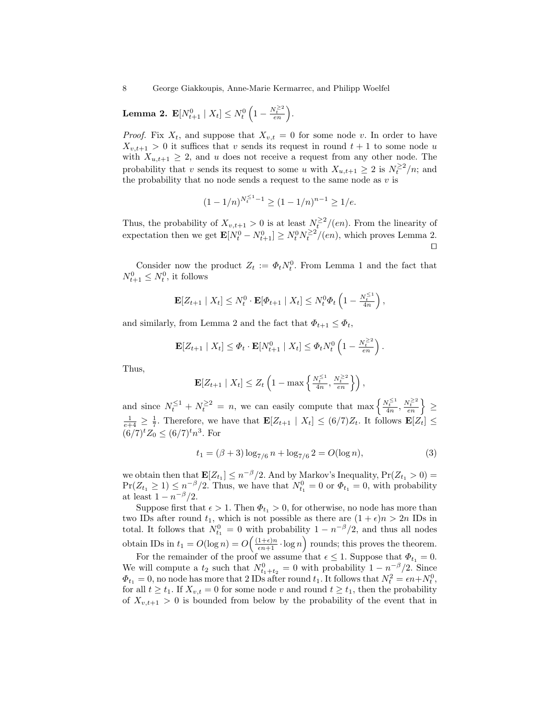Lemma 2.  $\mathbf{E}[N_{t+1}^0 \mid X_t] \leq N_t^0 \left(1 - \frac{N_t^{\geq 2}}{\epsilon n}\right)$ .

*Proof.* Fix  $X_t$ , and suppose that  $X_{v,t} = 0$  for some node v. In order to have  $X_{v,t+1} > 0$  it suffices that v sends its request in round  $t+1$  to some node u with  $X_{u,t+1} \geq 2$ , and u does not receive a request from any other node. The probability that v sends its request to some u with  $X_{u,t+1} \geq 2$  is  $N_t^{\geq 2}/n$ ; and the probability that no node sends a request to the same node as  $v$  is

$$
(1 - 1/n)^{N_t^{\leq 1} - 1} \geq (1 - 1/n)^{n-1} \geq 1/e.
$$

Thus, the probability of  $X_{v,t+1} > 0$  is at least  $N_t^{\geq 2}/(en)$ . From the linearity of expectation then we get  $\mathbf{E}[N_t^0 - N_{t+1}^0] \ge N_t^0 N_t^{\ge 2}/(en)$ , which proves Lemma 2.  $\Box$ 

Consider now the product  $Z_t := \Phi_t N_t^0$ . From Lemma 1 and the fact that  $N_{t+1}^0 \leq N_t^0$ , it follows

$$
\mathbf{E}[Z_{t+1} | X_t] \leq N_t^0 \cdot \mathbf{E}[\Phi_{t+1} | X_t] \leq N_t^0 \Phi_t \left(1 - \frac{N_t^{\leq 1}}{4n}\right),
$$

and similarly, from Lemma 2 and the fact that  $\Phi_{t+1} \leq \Phi_t$ ,

$$
\mathbf{E}[Z_{t+1} | X_t] \leq \Phi_t \cdot \mathbf{E}[N_{t+1}^0 | X_t] \leq \Phi_t N_t^0 \left(1 - \frac{N_t^{\geq 2}}{en}\right).
$$

Thus,

$$
\mathbf{E}[Z_{t+1} | X_t] \le Z_t \left(1 - \max\left\{\frac{N_t^{\le 1}}{4n}, \frac{N_t^{\ge 2}}{en}\right\}\right),
$$

and since  $N_t^{\leq 1} + N_t^{\geq 2} = n$ , we can easily compute that  $\max\left\{\frac{N_t^{\leq 1}}{4n}, \frac{N_t^{\geq 2}}{e^n}\right\} \geq$  $\frac{1}{e+4} \geq \frac{1}{7}$ . Therefore, we have that  $\mathbf{E}[Z_{t+1} | X_t] \leq (6/7)Z_t$ . It follows  $\mathbf{E}[Z_t] \leq$  $(6/7)^t Z_0 \le (6/7)^t n^3$ . For

$$
t_1 = (\beta + 3) \log_{7/6} n + \log_{7/6} 2 = O(\log n),\tag{3}
$$

we obtain then that  $\mathbf{E}[Z_{t_1}] \leq n^{-\beta}/2$ . And by Markov's Inequality,  $Pr(Z_{t_1} > 0)$  =  $Pr(Z_{t_1} \geq 1) \leq n^{-\beta}/2$ . Thus, we have that  $N_{t_1}^0 = 0$  or  $\Phi_{t_1} = 0$ , with probability at least  $1 - n^{-\beta}/2$ .

Suppose first that  $\epsilon > 1$ . Then  $\Phi_{t_1} > 0$ , for otherwise, no node has more than two IDs after round  $t_1$ , which is not possible as there are  $(1 + \epsilon)n > 2n$  IDs in total. It follows that  $N_{t_1}^0 = 0$  with probability  $1 - n^{-\beta}/2$ , and thus all nodes obtain IDs in  $t_1 = O(\log n) = O\left(\frac{(1+\epsilon)n}{\epsilon n+1} \cdot \log n\right)$  rounds; this proves the theorem.

For the remainder of the proof we assume that  $\epsilon \leq 1$ . Suppose that  $\Phi_{t_1} = 0$ . We will compute a  $t_2$  such that  $N_{t_1+t_2}^0 = 0$  with probability  $1 - n^{-\beta}/2$ . Since  $\Phi_{t_1} = 0$ , no node has more that 2 IDs after round  $t_1$ . It follows that  $N_t^2 = \epsilon n + N_t^0$ , for all  $t \geq t_1$ . If  $X_{v,t} = 0$  for some node v and round  $t \geq t_1$ , then the probability of  $X_{v,t+1} > 0$  is bounded from below by the probability of the event that in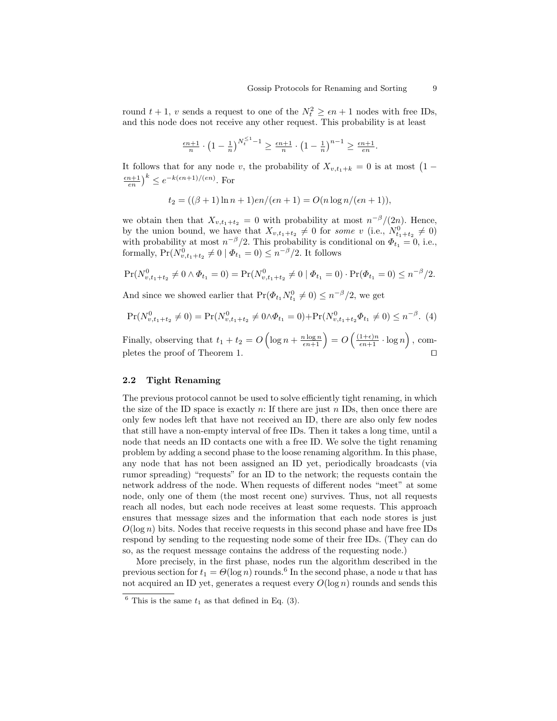round  $t + 1$ , v sends a request to one of the  $N_t^2 \ge \epsilon n + 1$  nodes with free IDs, and this node does not receive any other request. This probability is at least

$$
\tfrac{\epsilon n+1}{n} \cdot \left(1-\tfrac{1}{n}\right)^{N_t^{\leq 1}-1} \geq \tfrac{\epsilon n+1}{n} \cdot \left(1-\tfrac{1}{n}\right)^{n-1} \geq \tfrac{\epsilon n+1}{en}.
$$

It follows that for any node v, the probability of  $X_{v,t_1+k} = 0$  is at most  $(1 \frac{\epsilon n+1}{en}$ )<sup>k</sup>  $\leq e^{-k(\epsilon n+1)/(en)}$ . For

$$
t_2 = ((\beta + 1)\ln n + 1)en/(\epsilon n + 1) = O(n\log n/(\epsilon n + 1)),
$$

we obtain then that  $X_{v,t_1+t_2} = 0$  with probability at most  $n^{-\beta}/(2n)$ . Hence, by the union bound, we have that  $X_{v,t_1+t_2} \neq 0$  for some v (i.e.,  $N_{t_1+t_2}^0 \neq 0$ ) with probability at most  $n^{-\beta}/2$ . This probability is conditional on  $\Phi_{t_1} = 0$ , i.e., formally,  $Pr(N_{v,t_1+t_2}^0 \neq 0 | \Phi_{t_1} = 0) \leq n^{-\beta}/2$ . It follows

$$
\Pr(N_{v,t_1+t_2}^0 \neq 0 \land \Phi_{t_1} = 0) = \Pr(N_{v,t_1+t_2}^0 \neq 0 \mid \Phi_{t_1} = 0) \cdot \Pr(\Phi_{t_1} = 0) \leq n^{-\beta}/2.
$$

And since we showed earlier that  $Pr(\Phi_{t_1} N_{t_1}^0 \neq 0) \leq n^{-\beta}/2$ , we get

$$
Pr(N_{v,t_1+t_2}^0 \neq 0) = Pr(N_{v,t_1+t_2}^0 \neq 0 \land \Phi_{t_1} = 0) + Pr(N_{v,t_1+t_2}^0 \Phi_{t_1} \neq 0) \leq n^{-\beta}. (4)
$$

Finally, observing that  $t_1 + t_2 = O\left(\log n + \frac{n \log n}{\epsilon n + 1}\right) = O\left(\frac{(1+\epsilon)n}{\epsilon n + 1} \cdot \log n\right)$ , completes the proof of Theorem 1.  $\Box$ 

### 2.2 Tight Renaming

The previous protocol cannot be used to solve efficiently tight renaming, in which the size of the ID space is exactly n: If there are just n IDs, then once there are only few nodes left that have not received an ID, there are also only few nodes that still have a non-empty interval of free IDs. Then it takes a long time, until a node that needs an ID contacts one with a free ID. We solve the tight renaming problem by adding a second phase to the loose renaming algorithm. In this phase, any node that has not been assigned an ID yet, periodically broadcasts (via rumor spreading) "requests" for an ID to the network; the requests contain the network address of the node. When requests of different nodes "meet" at some node, only one of them (the most recent one) survives. Thus, not all requests reach all nodes, but each node receives at least some requests. This approach ensures that message sizes and the information that each node stores is just  $O(\log n)$  bits. Nodes that receive requests in this second phase and have free IDs respond by sending to the requesting node some of their free IDs. (They can do so, as the request message contains the address of the requesting node.)

More precisely, in the first phase, nodes run the algorithm described in the previous section for  $t_1 = \Theta(\log n)$  rounds.<sup>6</sup> In the second phase, a node u that has not acquired an ID yet, generates a request every  $O(\log n)$  rounds and sends this

 $6$  This is the same  $t_1$  as that defined in Eq. (3).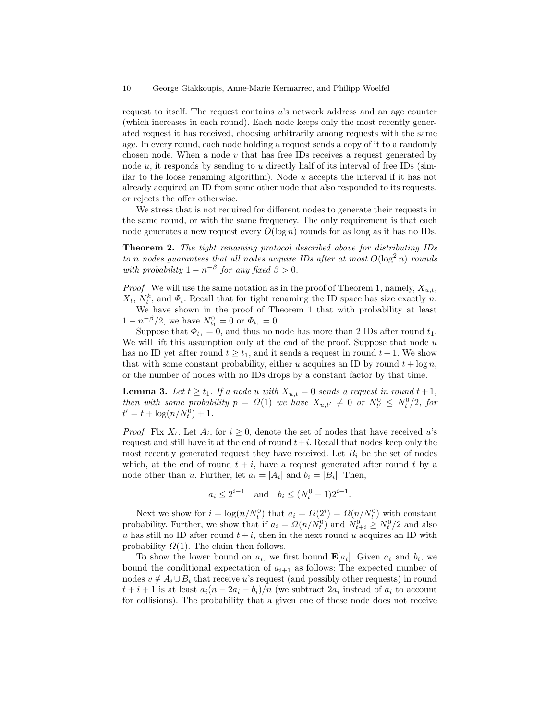request to itself. The request contains u's network address and an age counter (which increases in each round). Each node keeps only the most recently generated request it has received, choosing arbitrarily among requests with the same age. In every round, each node holding a request sends a copy of it to a randomly chosen node. When a node  $v$  that has free IDs receives a request generated by node  $u$ , it responds by sending to  $u$  directly half of its interval of free IDs (similar to the loose renaming algorithm). Node  $u$  accepts the interval if it has not already acquired an ID from some other node that also responded to its requests, or rejects the offer otherwise.

We stress that is not required for different nodes to generate their requests in the same round, or with the same frequency. The only requirement is that each node generates a new request every  $O(\log n)$  rounds for as long as it has no IDs.

Theorem 2. The tight renaming protocol described above for distributing IDs to n nodes guarantees that all nodes acquire IDs after at most  $O(\log^2 n)$  rounds with probability  $1 - n^{-\beta}$  for any fixed  $\beta > 0$ .

*Proof.* We will use the same notation as in the proof of Theorem 1, namely,  $X_{u,t}$ ,  $X_t$ ,  $N_t^k$ , and  $\Phi_t$ . Recall that for tight renaming the ID space has size exactly n.

We have shown in the proof of Theorem 1 that with probability at least  $1 - n^{-\beta}/2$ , we have  $N_{t_1}^0 = 0$  or  $\Phi_{t_1} = 0$ .

Suppose that  $\Phi_{t_1} = 0$ , and thus no node has more than 2 IDs after round  $t_1$ . We will lift this assumption only at the end of the proof. Suppose that node  $u$ has no ID yet after round  $t \geq t_1$ , and it sends a request in round  $t + 1$ . We show that with some constant probability, either u acquires an ID by round  $t + \log n$ , or the number of nodes with no IDs drops by a constant factor by that time.

**Lemma 3.** Let  $t \ge t_1$ . If a node u with  $X_{u,t} = 0$  sends a request in round  $t + 1$ , then with some probability  $p = \Omega(1)$  we have  $X_{u,t'} \neq 0$  or  $N_{t'}^0 \leq N_t^0/2$ , for  $t' = t + \log(n/N_t^0) + 1.$ 

*Proof.* Fix  $X_t$ . Let  $A_i$ , for  $i \geq 0$ , denote the set of nodes that have received u's request and still have it at the end of round  $t+i$ . Recall that nodes keep only the most recently generated request they have received. Let  $B_i$  be the set of nodes which, at the end of round  $t + i$ , have a request generated after round t by a node other than u. Further, let  $a_i = |A_i|$  and  $b_i = |B_i|$ . Then,

$$
a_i \le 2^{i-1}
$$
 and  $b_i \le (N_t^0 - 1)2^{i-1}$ .

Next we show for  $i = \log(n/N_t^0)$  that  $a_i = \Omega(2^i) = \Omega(n/N_t^0)$  with constant probability. Further, we show that if  $a_i = \Omega(n/N_t^0)$  and  $N_{t+i}^0 \ge N_t^0/2$  and also u has still no ID after round  $t + i$ , then in the next round u acquires an ID with probability  $\Omega(1)$ . The claim then follows.

To show the lower bound on  $a_i$ , we first bound  $\mathbf{E}[a_i]$ . Given  $a_i$  and  $b_i$ , we bound the conditional expectation of  $a_{i+1}$  as follows: The expected number of nodes  $v \notin A_i \cup B_i$  that receive u's request (and possibly other requests) in round  $t + i + 1$  is at least  $a_i(n - 2a_i - b_i)/n$  (we subtract  $2a_i$  instead of  $a_i$  to account for collisions). The probability that a given one of these node does not receive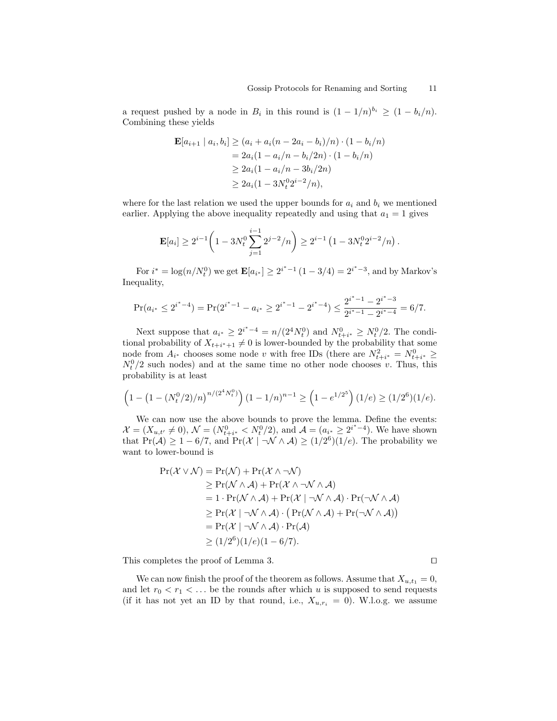a request pushed by a node in  $B_i$  in this round is  $(1 - 1/n)^{b_i} \ge (1 - b_i/n)$ . Combining these yields

$$
\mathbf{E}[a_{i+1} | a_i, b_i] \ge (a_i + a_i(n - 2a_i - b_i)/n) \cdot (1 - b_i/n)
$$
  
=  $2a_i(1 - a_i/n - b_i/2n) \cdot (1 - b_i/n)$   
 $\ge 2a_i(1 - a_i/n - 3b_i/2n)$   
 $\ge 2a_i(1 - 3N_t^0 2^{i-2}/n),$ 

where for the last relation we used the upper bounds for  $a_i$  and  $b_i$  we mentioned earlier. Applying the above inequality repeatedly and using that  $a_1 = 1$  gives

$$
\mathbf{E}[a_i] \ge 2^{i-1} \left( 1 - 3N_t^0 \sum_{j=1}^{i-1} 2^{j-2} / n \right) \ge 2^{i-1} \left( 1 - 3N_t^0 2^{i-2} / n \right).
$$

For  $i^* = \log(n/N_t^0)$  we get  $\mathbf{E}[a_{i^*}] \geq 2^{i^*-1}(1-3/4) = 2^{i^*-3}$ , and by Markov's Inequality,

$$
\Pr(a_{i^*} \le 2^{i^*-4}) = \Pr(2^{i^*-1} - a_{i^*} \ge 2^{i^*-1} - 2^{i^*-4}) \le \frac{2^{i^*-1} - 2^{i^*-3}}{2^{i^*-1} - 2^{i^*-4}} = 6/7.
$$

Next suppose that  $a_{i^*} \geq 2^{i^* - 4} = n/(2^4 N_t^0)$  and  $N_{t+i^*}^0 \geq N_t^0/2$ . The conditional probability of  $X_{t+i^*+1} \neq 0$  is lower-bounded by the probability that some node from  $A_{i^*}$  chooses some node v with free IDs (there are  $N_{t+i^*}^2 = N_{t+i^*}^0 \ge$  $N_t^0/2$  such nodes) and at the same time no other node chooses v. Thus, this probability is at least

$$
\left(1 - \left(1 - \left(N_t^0/2\right)/n\right)^{n/(2^4 N_t^0)}\right) \left(1 - 1/n\right)^{n-1} \ge \left(1 - e^{1/2^5}\right) \left(1/e\right) \ge \left(1/2^6\right) \left(1/e\right).
$$

We can now use the above bounds to prove the lemma. Define the events:  $\mathcal{X} = (X_{u,t'} \neq 0), \, \mathcal{N} = (N_{t+i^{*}}^{0} < N_t^0/2), \text{ and } \mathcal{A} = (a_{i^{*}} \geq 2^{i^{*}-4}).$  We have shown that  $Pr(\mathcal{A}) \geq 1 - 6/7$ , and  $Pr(\mathcal{X} \mid \neg \mathcal{N} \land \mathcal{A}) \geq (1/2^6)(1/e)$ . The probability we want to lower-bound is

$$
\Pr(\mathcal{X} \vee \mathcal{N}) = \Pr(\mathcal{N}) + \Pr(\mathcal{X} \wedge \neg \mathcal{N})
$$
  
\n
$$
\geq \Pr(\mathcal{N} \wedge \mathcal{A}) + \Pr(\mathcal{X} \wedge \neg \mathcal{N} \wedge \mathcal{A})
$$
  
\n
$$
= 1 \cdot \Pr(\mathcal{N} \wedge \mathcal{A}) + \Pr(\mathcal{X} \mid \neg \mathcal{N} \wedge \mathcal{A}) \cdot \Pr(\neg \mathcal{N} \wedge \mathcal{A})
$$
  
\n
$$
\geq \Pr(\mathcal{X} \mid \neg \mathcal{N} \wedge \mathcal{A}) \cdot (\Pr(\mathcal{N} \wedge \mathcal{A}) + \Pr(\neg \mathcal{N} \wedge \mathcal{A}))
$$
  
\n
$$
= \Pr(\mathcal{X} \mid \neg \mathcal{N} \wedge \mathcal{A}) \cdot \Pr(\mathcal{A})
$$
  
\n
$$
\geq (1/2^6)(1/e)(1 - 6/7).
$$

This completes the proof of Lemma 3.  $\Box$ 

We can now finish the proof of the theorem as follows. Assume that  $X_{u,t_1} = 0$ , and let  $r_0 < r_1 < \ldots$  be the rounds after which u is supposed to send requests (if it has not yet an ID by that round, i.e.,  $X_{u,r_i} = 0$ ). W.l.o.g. we assume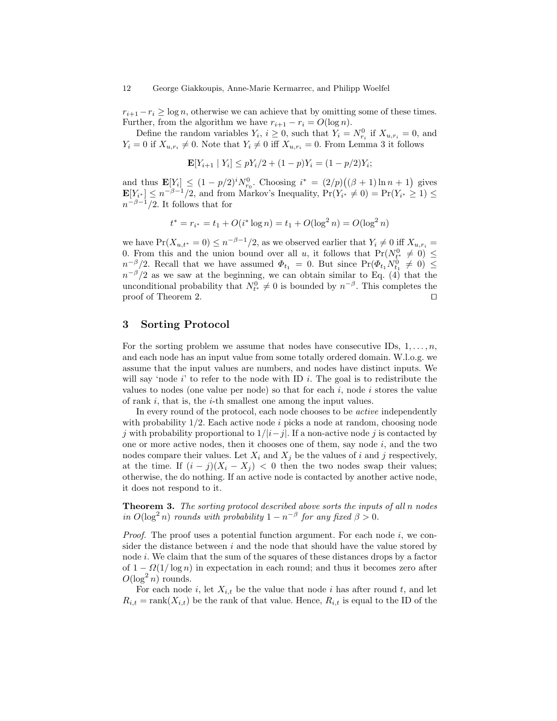#### 12 George Giakkoupis, Anne-Marie Kermarrec, and Philipp Woelfel

 $r_{i+1} - r_i \geq \log n$ , otherwise we can achieve that by omitting some of these times. Further, from the algorithm we have  $r_{i+1} - r_i = O(\log n)$ .

Define the random variables  $Y_i$ ,  $i \geq 0$ , such that  $Y_i = N_{r_i}^0$  if  $X_{u,r_i} = 0$ , and  $Y_i = 0$  if  $X_{u,r_i} \neq 0$ . Note that  $Y_i \neq 0$  iff  $X_{u,r_i} = 0$ . From Lemma 3 it follows

$$
\mathbf{E}[Y_{i+1} | Y_i] \le pY_i/2 + (1-p)Y_i = (1-p/2)Y_i;
$$

and thus  $\mathbf{E}[Y_i] \leq (1 - p/2)^i N_{r_0}^0$ . Choosing  $i^* = (2/p)((\beta + 1)\ln n + 1)$  gives  $\mathbf{E}[Y_{i^*}] \leq n^{-\beta-1}/2$ , and from Markov's Inequality,  $Pr(Y_{i^*} \neq 0) = Pr(Y_{i^*} \geq 1) \leq$  $n^{-\beta-1}/2$ . It follows that for

$$
t^* = r_{i^*} = t_1 + O(i^* \log n) = t_1 + O(\log^2 n) = O(\log^2 n)
$$

we have  $Pr(X_{u,t^*} = 0) \le n^{-\beta - 1/2}$ , as we observed earlier that  $Y_i \ne 0$  iff  $X_{u,r_i} =$ 0. From this and the union bound over all u, it follows that  $Pr(N_{t^*}^0 \neq 0) \leq$  $n^{-\beta}/2$ . Recall that we have assumed  $\Phi_{t_1} = 0$ . But since  $Pr(\Phi_{t_1} N_{t_1}^0 \neq 0) \leq$  $n^{-\beta}/2$  as we saw at the beginning, we can obtain similar to Eq. (4) that the unconditional probability that  $N_{t^*}^0 \neq 0$  is bounded by  $n^{-\beta}$ . This completes the proof of Theorem 2.  $\Box$ 

### 3 Sorting Protocol

For the sorting problem we assume that nodes have consecutive IDs,  $1, \ldots, n$ , and each node has an input value from some totally ordered domain. W.l.o.g. we assume that the input values are numbers, and nodes have distinct inputs. We will say 'node  $i'$  to refer to the node with ID  $i$ . The goal is to redistribute the values to nodes (one value per node) so that for each  $i$ , node  $i$  stores the value of rank  $i$ , that is, the  $i$ -th smallest one among the input values.

In every round of the protocol, each node chooses to be *active* independently with probability  $1/2$ . Each active node i picks a node at random, choosing node j with probability proportional to  $1/|i-j|$ . If a non-active node j is contacted by one or more active nodes, then it chooses one of them, say node  $i$ , and the two nodes compare their values. Let  $X_i$  and  $X_j$  be the values of i and j respectively, at the time. If  $(i - j)(X_i - X_j) < 0$  then the two nodes swap their values; otherwise, the do nothing. If an active node is contacted by another active node, it does not respond to it.

Theorem 3. The sorting protocol described above sorts the inputs of all n nodes in  $O(\log^2 n)$  rounds with probability  $1 - n^{-\beta}$  for any fixed  $\beta > 0$ .

*Proof.* The proof uses a potential function argument. For each node  $i$ , we consider the distance between  $i$  and the node that should have the value stored by node i. We claim that the sum of the squares of these distances drops by a factor of  $1 - \Omega(1/\log n)$  in expectation in each round; and thus it becomes zero after  $O(\log^2 n)$  rounds.

For each node i, let  $X_{i,t}$  be the value that node i has after round t, and let  $R_{i,t} = \text{rank}(X_{i,t})$  be the rank of that value. Hence,  $R_{i,t}$  is equal to the ID of the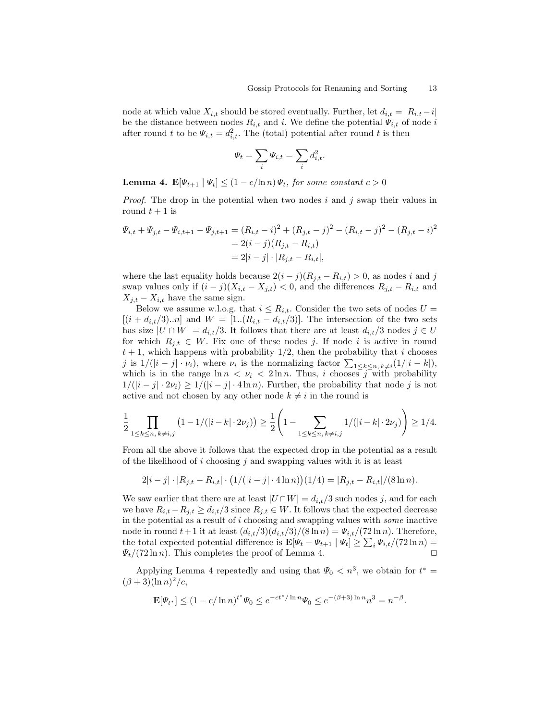node at which value  $X_{i,t}$  should be stored eventually. Further, let  $d_{i,t} = |R_{i,t} - i|$ be the distance between nodes  $R_{i,t}$  and i. We define the potential  $\Psi_{i,t}$  of node i after round t to be  $\Psi_{i,t} = d_{i,t}^2$ . The (total) potential after round t is then

$$
\varPsi_t = \sum_i \varPsi_{i,t} = \sum_i d_{i,t}^2.
$$

**Lemma 4.**  $\mathbf{E}[\Psi_{t+1} | \Psi_t] \leq (1 - c/\ln n) \Psi_t$ , for some constant  $c > 0$ 

*Proof.* The drop in the potential when two nodes i and j swap their values in round  $t + 1$  is

$$
\Psi_{i,t} + \Psi_{j,t} - \Psi_{i,t+1} - \Psi_{j,t+1} = (R_{i,t} - i)^2 + (R_{j,t} - j)^2 - (R_{i,t} - j)^2 - (R_{j,t} - i)^2
$$
  
= 2(i - j)(R\_{j,t} - R\_{i,t})  
= 2|i - j| \cdot |R\_{j,t} - R\_{i,t}|,

where the last equality holds because  $2(i - j)(R_{i,t} - R_{i,t}) > 0$ , as nodes i and j swap values only if  $(i - j)(X_{i,t} - X_{j,t}) < 0$ , and the differences  $R_{j,t} - R_{i,t}$  and  $X_{j,t} - X_{i,t}$  have the same sign.

Below we assume w.l.o.g. that  $i \leq R_{i,t}$ . Consider the two sets of nodes  $U =$  $[(i + d_{i,t}/3)..n]$  and  $W = [1..(R_{i,t} - d_{i,t}/3)]$ . The intersection of the two sets has size  $|U \cap W| = d_{i,t}/3$ . It follows that there are at least  $d_{i,t}/3$  nodes  $j \in U$ for which  $R_{j,t} \in W$ . Fix one of these nodes j. If node i is active in round  $t + 1$ , which happens with probability 1/2, then the probability that i chooses j is  $1/(|i-j| \cdot \nu_i)$ , where  $\nu_i$  is the normalizing factor  $\sum_{1 \leq k \leq n, k \neq i} (1/|i-k|)$ , which is in the range  $\ln n < \nu_i < 2 \ln n$ . Thus, i chooses j with probability  $1/(|i - j| \cdot 2\nu_i) \ge 1/(|i - j| \cdot 4 \ln n)$ . Further, the probability that node j is not active and not chosen by any other node  $k \neq i$  in the round is

$$
\frac{1}{2} \prod_{1 \leq k \leq n, k \neq i,j} \left( 1 - 1/(|i - k| \cdot 2\nu_j) \right) \geq \frac{1}{2} \left( 1 - \sum_{1 \leq k \leq n, k \neq i,j} 1/(|i - k| \cdot 2\nu_j) \right) \geq 1/4.
$$

From all the above it follows that the expected drop in the potential as a result of the likelihood of i choosing j and swapping values with it is at least

$$
2|i-j|\cdot|R_{j,t}-R_{i,t}|\cdot\big(1/(|i-j|\cdot\dim n)\big)(1/4)=|R_{j,t}-R_{i,t}|/(8\ln n).
$$

We saw earlier that there are at least  $|U \cap W| = d_{i,t}/3$  such nodes j, and for each we have  $R_{i,t} - R_{j,t} \ge d_{i,t}/3$  since  $R_{j,t} \in W$ . It follows that the expected decrease in the potential as a result of  $i$  choosing and swapping values with *some* inactive node in round  $t+1$  it at least  $(d_{i,t}/3)(d_{i,t}/3)/(8 \ln n) = \Psi_{i,t}/(72 \ln n)$ . Therefore, the total expected potential difference is  $\mathbf{E}[\Psi_t - \Psi_{t+1} | \Psi_t] \ge \sum_i \Psi_{i,t} / (72 \ln n) =$  $\Psi_t/(72 \ln n)$ . This completes the proof of Lemma 4.

Applying Lemma 4 repeatedly and using that  $\Psi_0 < n^3$ , we obtain for  $t^* =$  $(\beta + 3)(\ln n)^2/c$ ,

$$
\mathbf{E}[\varPsi_{t^*}] \leq (1-c/\ln n)^{t^*} \varPsi_0 \leq e^{-ct^*/\ln n} \varPsi_0 \leq e^{-(\beta+3)\ln n} n^3 = n^{-\beta}.
$$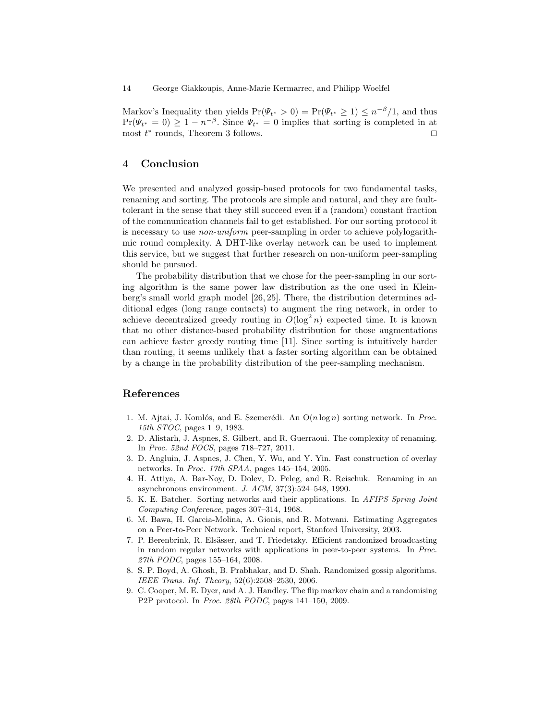Markov's Inequality then yields  $Pr(\Psi_{t^*} > 0) = Pr(\Psi_{t^*} \geq 1) \leq n^{-\beta}/1$ , and thus  $Pr(\Psi_{t^*} = 0) \geq 1 - n^{-\beta}$ . Since  $\Psi_{t^*} = 0$  implies that sorting is completed in at most  $t^*$  rounds, Theorem 3 follows.  $\square$ 

### 4 Conclusion

We presented and analyzed gossip-based protocols for two fundamental tasks, renaming and sorting. The protocols are simple and natural, and they are faulttolerant in the sense that they still succeed even if a (random) constant fraction of the communication channels fail to get established. For our sorting protocol it is necessary to use non-uniform peer-sampling in order to achieve polylogarithmic round complexity. A DHT-like overlay network can be used to implement this service, but we suggest that further research on non-uniform peer-sampling should be pursued.

The probability distribution that we chose for the peer-sampling in our sorting algorithm is the same power law distribution as the one used in Kleinberg's small world graph model [26, 25]. There, the distribution determines additional edges (long range contacts) to augment the ring network, in order to achieve decentralized greedy routing in  $O(\log^2 n)$  expected time. It is known that no other distance-based probability distribution for those augmentations can achieve faster greedy routing time [11]. Since sorting is intuitively harder than routing, it seems unlikely that a faster sorting algorithm can be obtained by a change in the probability distribution of the peer-sampling mechanism.

### References

- 1. M. Ajtai, J. Komlós, and E. Szemerédi. An  $O(n \log n)$  sorting network. In *Proc.* 15th STOC, pages 1–9, 1983.
- 2. D. Alistarh, J. Aspnes, S. Gilbert, and R. Guerraoui. The complexity of renaming. In Proc. 52nd FOCS, pages 718–727, 2011.
- 3. D. Angluin, J. Aspnes, J. Chen, Y. Wu, and Y. Yin. Fast construction of overlay networks. In Proc. 17th SPAA, pages 145–154, 2005.
- 4. H. Attiya, A. Bar-Noy, D. Dolev, D. Peleg, and R. Reischuk. Renaming in an asynchronous environment. J. ACM, 37(3):524–548, 1990.
- 5. K. E. Batcher. Sorting networks and their applications. In AFIPS Spring Joint Computing Conference, pages 307–314, 1968.
- 6. M. Bawa, H. Garcia-Molina, A. Gionis, and R. Motwani. Estimating Aggregates on a Peer-to-Peer Network. Technical report, Stanford University, 2003.
- 7. P. Berenbrink, R. Elsässer, and T. Friedetzky. Efficient randomized broadcasting in random regular networks with applications in peer-to-peer systems. In Proc. 27th PODC, pages 155–164, 2008.
- 8. S. P. Boyd, A. Ghosh, B. Prabhakar, and D. Shah. Randomized gossip algorithms. IEEE Trans. Inf. Theory, 52(6):2508–2530, 2006.
- 9. C. Cooper, M. E. Dyer, and A. J. Handley. The flip markov chain and a randomising P2P protocol. In Proc. 28th PODC, pages 141–150, 2009.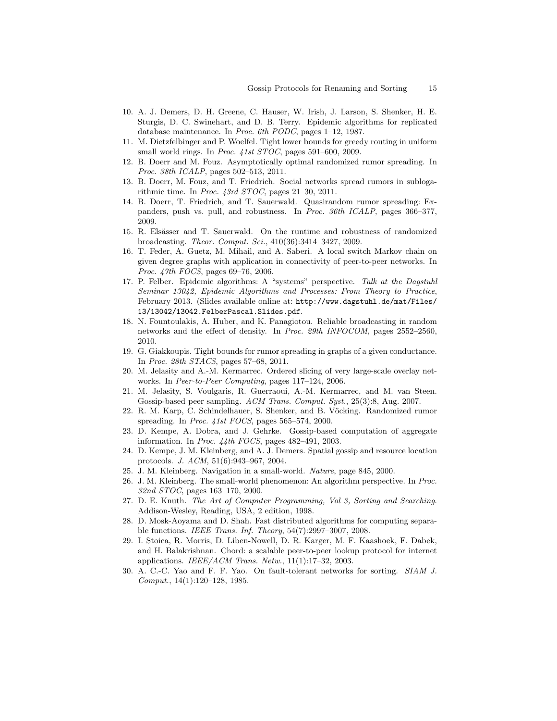- 10. A. J. Demers, D. H. Greene, C. Hauser, W. Irish, J. Larson, S. Shenker, H. E. Sturgis, D. C. Swinehart, and D. B. Terry. Epidemic algorithms for replicated database maintenance. In Proc. 6th PODC, pages 1–12, 1987.
- 11. M. Dietzfelbinger and P. Woelfel. Tight lower bounds for greedy routing in uniform small world rings. In *Proc. 41st STOC*, pages 591–600, 2009.
- 12. B. Doerr and M. Fouz. Asymptotically optimal randomized rumor spreading. In Proc. 38th ICALP, pages 502–513, 2011.
- 13. B. Doerr, M. Fouz, and T. Friedrich. Social networks spread rumors in sublogarithmic time. In Proc.  $43rd$  STOC, pages 21–30, 2011.
- 14. B. Doerr, T. Friedrich, and T. Sauerwald. Quasirandom rumor spreading: Expanders, push vs. pull, and robustness. In Proc. 36th ICALP, pages 366–377, 2009.
- 15. R. Elsässer and T. Sauerwald. On the runtime and robustness of randomized broadcasting. Theor. Comput. Sci., 410(36):3414–3427, 2009.
- 16. T. Feder, A. Guetz, M. Mihail, and A. Saberi. A local switch Markov chain on given degree graphs with application in connectivity of peer-to-peer networks. In Proc. 47th FOCS, pages 69–76, 2006.
- 17. P. Felber. Epidemic algorithms: A "systems" perspective. Talk at the Dagstuhl Seminar 13042, Epidemic Algorithms and Processes: From Theory to Practice, February 2013. (Slides available online at: http://www.dagstuhl.de/mat/Files/ 13/13042/13042.FelberPascal.Slides.pdf.
- 18. N. Fountoulakis, A. Huber, and K. Panagiotou. Reliable broadcasting in random networks and the effect of density. In Proc. 29th INFOCOM, pages 2552–2560, 2010.
- 19. G. Giakkoupis. Tight bounds for rumor spreading in graphs of a given conductance. In Proc. 28th STACS, pages 57–68, 2011.
- 20. M. Jelasity and A.-M. Kermarrec. Ordered slicing of very large-scale overlay networks. In Peer-to-Peer Computing, pages 117–124, 2006.
- 21. M. Jelasity, S. Voulgaris, R. Guerraoui, A.-M. Kermarrec, and M. van Steen. Gossip-based peer sampling. ACM Trans. Comput. Syst., 25(3):8, Aug. 2007.
- 22. R. M. Karp, C. Schindelhauer, S. Shenker, and B. Vöcking. Randomized rumor spreading. In Proc. 41st FOCS, pages 565–574, 2000.
- 23. D. Kempe, A. Dobra, and J. Gehrke. Gossip-based computation of aggregate information. In Proc. 44th FOCS, pages 482–491, 2003.
- 24. D. Kempe, J. M. Kleinberg, and A. J. Demers. Spatial gossip and resource location protocols. J. ACM, 51(6):943–967, 2004.
- 25. J. M. Kleinberg. Navigation in a small-world. Nature, page 845, 2000.
- 26. J. M. Kleinberg. The small-world phenomenon: An algorithm perspective. In Proc. 32nd STOC, pages 163–170, 2000.
- 27. D. E. Knuth. The Art of Computer Programming, Vol 3, Sorting and Searching. Addison-Wesley, Reading, USA, 2 edition, 1998.
- 28. D. Mosk-Aoyama and D. Shah. Fast distributed algorithms for computing separable functions. IEEE Trans. Inf. Theory, 54(7):2997–3007, 2008.
- 29. I. Stoica, R. Morris, D. Liben-Nowell, D. R. Karger, M. F. Kaashoek, F. Dabek, and H. Balakrishnan. Chord: a scalable peer-to-peer lookup protocol for internet applications. IEEE/ACM Trans. Netw.,  $11(1):17-32$ , 2003.
- 30. A. C.-C. Yao and F. F. Yao. On fault-tolerant networks for sorting. SIAM J. Comput., 14(1):120–128, 1985.